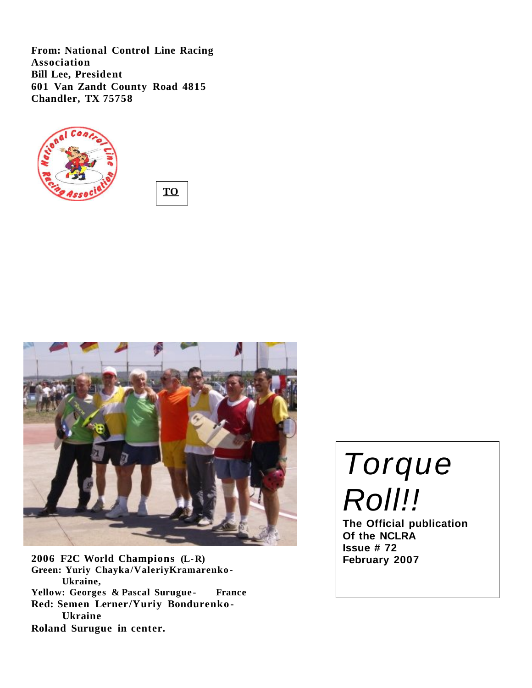**From: National Control Line Racing Association Bill Lee, President 601 Van Zandt County Road 4815 Chandler, TX 75758**



**TO :**



**2006 F2C World Champions (L-R) Green: Yuriy Chayka/ValeriyKramarenko - Ukraine, Yellow: Georges & Pascal Surugue - France Red: Semen Lerner/Yuriy Bondurenko - Ukraine Roland Surugue in center.**

Torque Roll!!

**The Official publication Of the NCLRA Issue # 72 February 2007**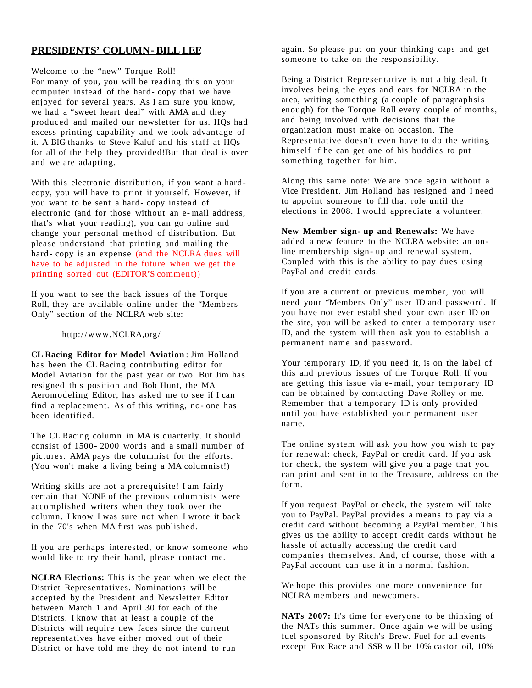# **PRESIDENTS' COLUMN- BILL LEE**

Welcome to the "new" Torque Roll! For many of you, you will be reading this on your computer instead of the hard- copy that we have enjoyed for several years. As I am sure you know, we had a "sweet heart deal" with AMA and they produced and mailed our newsletter for us. HQs had excess printing capability and we took advantage of it. A BIG thanks to Steve Kaluf and his staff at HQs for all of the help they provided!But that deal is over and we are adapting.

With this electronic distribution, if you want a hardcopy, you will have to print it yourself. However, if you want to be sent a hard- copy instead of electronic (and for those without an e- mail address, that's what your reading), you can go online and change your personal method of distribution. But please understand that printing and mailing the hard- copy is an expense (and the NCLRA dues will have to be adjusted in the future when we get the printing sorted out (EDITOR'S comment))

If you want to see the back issues of the Torque Roll, they are available online under the "Members Only" section of the NCLRA web site:

http://www.NCLRA,org/

**CL Racing Editor for Model Aviation**: Jim Holland has been the CL Racing contributing editor for Model Aviation for the past year or two. But Jim has resigned this position and Bob Hunt, the MA Aeromodeling Editor, has asked me to see if I can find a replacement. As of this writing, no- one has been identified.

The CL Racing column in MA is quarterly. It should consist of 1500- 2000 words and a small number of pictures. AMA pays the columnist for the efforts. (You won't make a living being a MA columnist!)

Writing skills are not a prerequisite! I am fairly certain that NONE of the previous columnists were accomplished writers when they took over the column. I know I was sure not when I wrote it back in the 70's when MA first was published.

If you are perhaps interested, or know someone who would like to try their hand, please contact me.

**NCLRA Elections:** This is the year when we elect the District Representatives. Nominations will be accepted by the President and Newsletter Editor between March 1 and April 30 for each of the Districts. I know that at least a couple of the Districts will require new faces since the current representatives have either moved out of their District or have told me they do not intend to run

again. So please put on your thinking caps and get someone to take on the responsibility.

Being a District Representative is not a big deal. It involves being the eyes and ears for NCLRA in the area, writing something (a couple of paragraphsis enough) for the Torque Roll every couple of months, and being involved with decisions that the organization must make on occasion. The Representative doesn't even have to do the writing himself if he can get one of his buddies to put something together for him.

Along this same note: We are once again without a Vice President. Jim Holland has resigned and I need to appoint someone to fill that role until the elections in 2008. I would appreciate a volunteer.

**New Member sign- up and Renewals:** We have added a new feature to the NCLRA website: an online membership sign- up and renewal system. Coupled with this is the ability to pay dues using PayPal and credit cards.

If you are a current or previous member, you will need your "Members Only" user ID and password. If you have not ever established your own user ID on the site, you will be asked to enter a temporary user ID, and the system will then ask you to establish a permanent name and password.

Your temporary ID, if you need it, is on the label of this and previous issues of the Torque Roll. If you are getting this issue via e- mail, your temporary ID can be obtained by contacting Dave Rolley or me. Remember that a temporary ID is only provided until you have established your permanent user name.

The online system will ask you how you wish to pay for renewal: check, PayPal or credit card. If you ask for check, the system will give you a page that you can print and sent in to the Treasure, address on the form.

If you request PayPal or check, the system will take you to PayPal. PayPal provides a means to pay via a credit card without becoming a PayPal member. This gives us the ability to accept credit cards without he hassle of actually accessing the credit card companies themselves. And, of course, those with a PayPal account can use it in a normal fashion.

We hope this provides one more convenience for NCLRA members and newcomers.

**NATs 2007:** It's time for everyone to be thinking of the NATs this summer. Once again we will be using fuel sponsored by Ritch's Brew. Fuel for all events except Fox Race and SSR will be 10% castor oil, 10%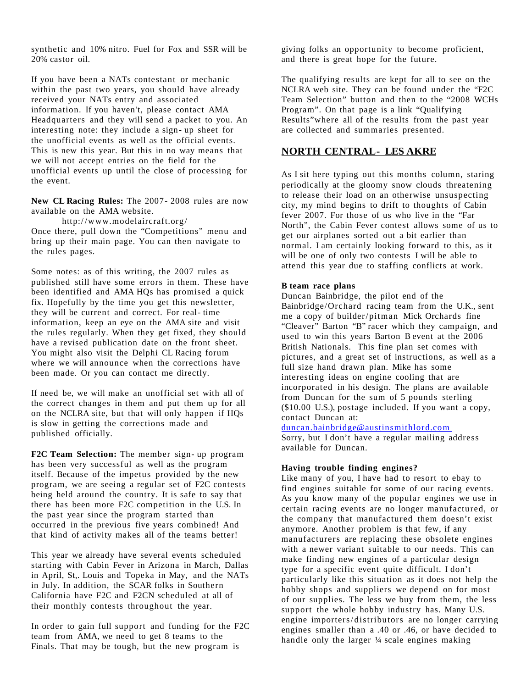synthetic and 10% nitro. Fuel for Fox and SSR will be 20% castor oil.

If you have been a NATs contestant or mechanic within the past two years, you should have already received your NATs entry and associated information. If you haven't, please contact AMA Headquarters and they will send a packet to you. An interesting note: they include a sign- up sheet for the unofficial events as well as the official events. This is new this year. But this in no way means that we will not accept entries on the field for the unofficial events up until the close of processing for the event.

**New CL Racing Rules:** The 2007- 2008 rules are now available on the AMA website.

http://www.modelaircraft.org/

Once there, pull down the "Competitions" menu and bring up their main page. You can then navigate to the rules pages.

Some notes: as of this writing, the 2007 rules as published still have some errors in them. These have been identified and AMA HQs has promised a quick fix. Hopefully by the time you get this newsletter, they will be current and correct. For real- time information, keep an eye on the AMA site and visit the rules regularly. When they get fixed, they should have a revised publication date on the front sheet. You might also visit the Delphi CL Racing forum where we will announce when the corrections have been made. Or you can contact me directly.

If need be, we will make an unofficial set with all of the correct changes in them and put them up for all on the NCLRA site, but that will only happen if HQs is slow in getting the corrections made and published officially.

**F2C Team Selection:** The member sign- up program has been very successful as well as the program itself. Because of the impetus provided by the new program, we are seeing a regular set of F2C contests being held around the country. It is safe to say that there has been more F2C competition in the U.S. In the past year since the program started than occurred in the previous five years combined! And that kind of activity makes all of the teams better!

This year we already have several events scheduled starting with Cabin Fever in Arizona in March, Dallas in April, St,. Louis and Topeka in May, and the NATs in July. In addition, the SCAR folks in Southern California have F2C and F2CN scheduled at all of their monthly contests throughout the year.

In order to gain full support and funding for the F2C team from AMA, we need to get 8 teams to the Finals. That may be tough, but the new program is

giving folks an opportunity to become proficient, and there is great hope for the future.

The qualifying results are kept for all to see on the NCLRA web site. They can be found under the "F2C Team Selection" button and then to the "2008 WCHs Program". On that page is a link "Qualifying Results"where all of the results from the past year are collected and summaries presented.

# **NORTH CENTRAL- LES AKRE**

As I sit here typing out this months column, staring periodically at the gloomy snow clouds threatening to release their load on an otherwise unsuspecting city, my mind begins to drift to thoughts of Cabin fever 2007. For those of us who live in the "Far North", the Cabin Fever contest allows some of us to get our airplanes sorted out a bit earlier than normal. I am certainly looking forward to this, as it will be one of only two contests I will be able to attend this year due to staffing conflicts at work.

# **B team race plans**

Duncan Bainbridge, the pilot end of the Bainbridge/Orchard racing team from the U.K., sent me a copy of builder/pitman Mick Orchards fine "Cleaver" Barton "B" racer which they campaign, and used to win this years Barton B event at the 2006 British Nationals. This fine plan set comes with pictures, and a great set of instructions, as well as a full size hand drawn plan. Mike has some interesting ideas on engine cooling that are incorporated in his design. The plans are available from Duncan for the sum of 5 pounds sterling (\$10.00 U.S.), postage included. If you want a copy, contact Duncan at:

#### [duncan.bainbridge@austinsmithlord.com](mailto:duncan.bainbridge@austinsmithlord.com)

Sorry, but I don't have a regular mailing address available for Duncan.

#### **Having trouble finding engines?**

Like many of you, I have had to resort to ebay to find engines suitable for some of our racing events. As you know many of the popular engines we use in certain racing events are no longer manufactured, or the company that manufactured them doesn't exist anymore. Another problem is that few, if any manufacturers are replacing these obsolete engines with a newer variant suitable to our needs. This can make finding new engines of a particular design type for a specific event quite difficult. I don't particularly like this situation as it does not help the hobby shops and suppliers we depend on for most of our supplies. The less we buy from them, the less support the whole hobby industry has. Many U.S. engine importers/ distributors are no longer carrying engines smaller than a .40 or .46, or have decided to handle only the larger ¼ scale engines making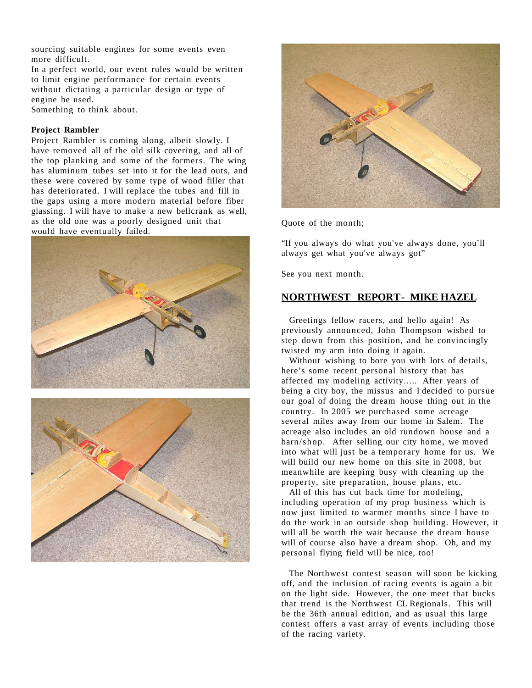sourcing suitable engines for some events even more difficult.

In a perfect world, our event rules would be written to limit engine performance for certain events without dictating a particular design or type of engine be used.

Something to think about.

# **Project Rambler**

Project Rambler is coming along, albeit slowly. I have removed all of the old silk covering, and all of the top planking and some of the formers. The wing has aluminum tubes set into it for the lead outs, and these were covered by some type of wood filler that has deteriorated. I will replace the tubes and fill in the gaps using a more modern material before fiber glassing. I will have to make a new bellcrank as well, as the old one was a poorly designed unit that would have eventually failed.





Quote of the month;

"If you always do what you've always done, you'll always get what you've always got"

See you next month.

# **NORTHWEST REPORT- MIKE HAZEL**

Greetings fellow racers, and hello again! As previously announced, John Thompson wished to step down from this position, and he convincingly twisted my arm into doing it again.

Without wishing to bore you with lots of details, here's some recent personal history that has affected my modeling activity….. After years of being a city boy, the missus and I decided to pursue our goal of doing the dream house thing out in the country. In 2005 we purchased some acreage several miles away from our home in Salem. The acreage also includes an old rundown house and a barn/shop. After selling our city home, we moved into what will just be a temporary home for us. We will build our new home on this site in 2008, but meanwhile are keeping busy with cleaning up the property, site preparation, house plans, etc.

All of this has cut back time for modeling, including operation of my prop business which is now just limited to warmer months since I have to do the work in an outside shop building. However, it will all be worth the wait because the dream house will of course also have a dream shop. Oh, and my personal flying field will be nice, too!

The Northwest contest season will soon be kicking off, and the inclusion of racing events is again a bit on the light side. However, the one meet that bucks that trend is the Northwest CL Regionals. This will be the 36th annual edition, and as usual this large contest offers a vast array of events including those of the racing variety.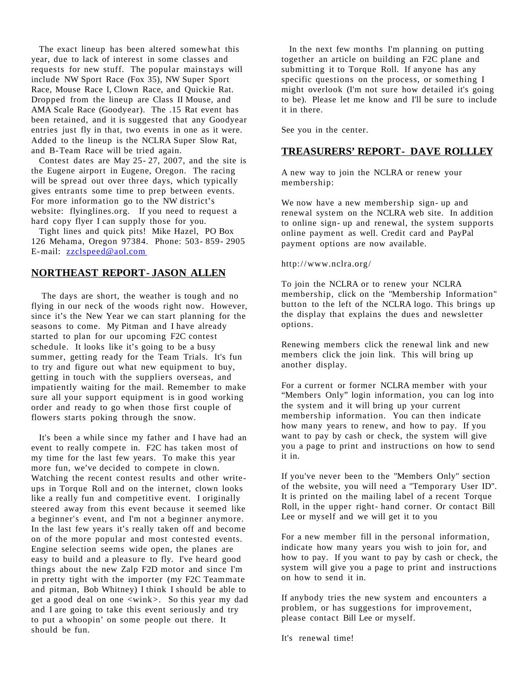The exact lineup has been altered somewhat this year, due to lack of interest in some classes and requests for new stuff. The popular mainstays will include NW Sport Race (Fox 35), NW Super Sport Race, Mouse Race I, Clown Race, and Quickie Rat. Dropped from the lineup are Class II Mouse, and AMA Scale Race (Goodyear). The .15 Rat event has been retained, and it is suggested that any Goodyear entries just fly in that, two events in one as it were. Added to the lineup is the NCLRA Super Slow Rat, and B-Team Race will be tried again.

Contest dates are May 25- 27, 2007, and the site is the Eugene airport in Eugene, Oregon. The racing will be spread out over three days, which typically gives entrants some time to prep between events. For more information go to the NW district's website: flyinglines.org. If you need to request a hard copy flyer I can supply those for you.

Tight lines and quick pits! Mike Hazel, PO Box 126 Mehama, Oregon 97384. Phone: 503- 859- 2905 E-mail: [zzclspeed@aol.com](mailto:zzclspeed@aol.com)

# **NORTHEAST REPORT- JASON ALLEN**

The days are short, the weather is tough and no flying in our neck of the woods right now. However, since it's the New Year we can start planning for the seasons to come. My Pitman and I have already started to plan for our upcoming F2C contest schedule. It looks like it's going to be a busy summer, getting ready for the Team Trials. It's fun to try and figure out what new equipment to buy, getting in touch with the suppliers overseas, and impatiently waiting for the mail. Remember to make sure all your support equipment is in good working order and ready to go when those first couple of flowers starts poking through the snow.

It's been a while since my father and I have had an event to really compete in. F2C has taken most of my time for the last few years. To make this year more fun, we've decided to compete in clown. Watching the recent contest results and other writeups in Torque Roll and on the internet, clown looks like a really fun and competitive event. I originally steered away from this event because it seemed like a beginner's event, and I'm not a beginner anymore. In the last few years it's really taken off and become on of the more popular and most contested events. Engine selection seems wide open, the planes are easy to build and a pleasure to fly. I've heard good things about the new Zalp F2D motor and since I'm in pretty tight with the importer (my F2C Teammate and pitman, Bob Whitney) I think I should be able to get a good deal on one <wink>. So this year my dad and I are going to take this event seriously and try to put a whoopin' on some people out there. It should be fun.

In the next few months I'm planning on putting together an article on building an F2C plane and submitting it to Torque Roll. If anyone has any specific questions on the process, or something I might overlook (I'm not sure how detailed it's going to be). Please let me know and I'll be sure to include it in there.

See you in the center.

# **TREASURERS' REPORT- DAVE ROLLLEY**

A new way to join the NCLRA or renew your membership:

We now have a new membership sign- up and renewal system on the NCLRA web site. In addition to online sign- up and renewal, the system supports online payment as well. Credit card and PayPal payment options are now available.

#### http://www.nclra.org/

To join the NCLRA or to renew your NCLRA membership, click on the "Membership Information" button to the left of the NCLRA logo. This brings up the display that explains the dues and newsletter options.

Renewing members click the renewal link and new members click the join link. This will bring up another display.

For a current or former NCLRA member with your "Members Only" login information, you can log into the system and it will bring up your current membership information. You can then indicate how many years to renew, and how to pay. If you want to pay by cash or check, the system will give you a page to print and instructions on how to send it in.

If you've never been to the "Members Only" section of the website, you will need a "Temporary User ID". It is printed on the mailing label of a recent Torque Roll, in the upper right- hand corner. Or contact Bill Lee or myself and we will get it to you

For a new member fill in the personal information, indicate how many years you wish to join for, and how to pay. If you want to pay by cash or check, the system will give you a page to print and instructions on how to send it in.

If anybody tries the new system and encounters a problem, or has suggestions for improvement, please contact Bill Lee or myself.

It's renewal time!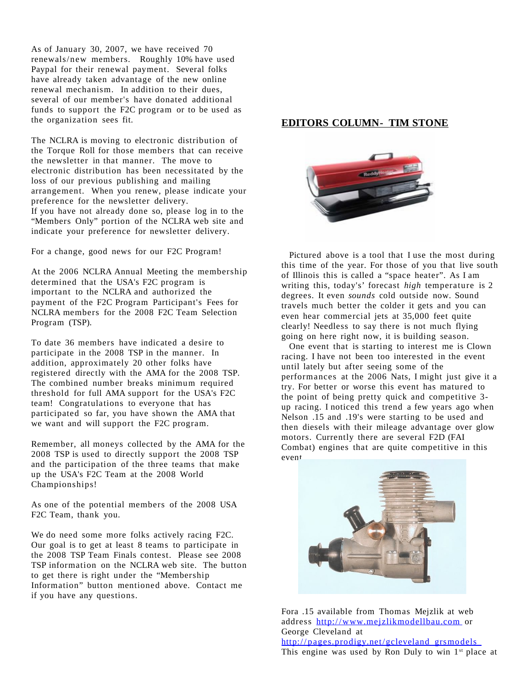As of January 30, 2007, we have received 70 renewals/new members. Roughly 10% have used Paypal for their renewal payment. Several folks have already taken advantage of the new online renewal mechanism. In addition to their dues, several of our member's have donated additional funds to support the F2C program or to be used as the organization sees fit.

The NCLRA is moving to electronic distribution of the Torque Roll for those members that can receive the newsletter in that manner. The move to electronic distribution has been necessitated by the loss of our previous publishing and mailing arrangement. When you renew, please indicate your preference for the newsletter delivery. If you have not already done so, please log in to the "Members Only" portion of the NCLRA web site and indicate your preference for newsletter delivery.

For a change, good news for our F2C Program!

At the 2006 NCLRA Annual Meeting the membership determined that the USA's F2C program is important to the NCLRA and authorized the payment of the F2C Program Participant's Fees for NCLRA members for the 2008 F2C Team Selection Program (TSP).

To date 36 members have indicated a desire to participate in the 2008 TSP in the manner. In addition, approximately 20 other folks have registered directly with the AMA for the 2008 TSP. The combined number breaks minimum required threshold for full AMA support for the USA's F2C team! Congratulations to everyone that has participated so far, you have shown the AMA that we want and will support the F2C program.

Remember, all moneys collected by the AMA for the 2008 TSP is used to directly support the 2008 TSP and the participation of the three teams that make up the USA's F2C Team at the 2008 World Championships!

As one of the potential members of the 2008 USA F2C Team, thank you.

We do need some more folks actively racing F2C. Our goal is to get at least 8 teams to participate in the 2008 TSP Team Finals contest. Please see 2008 TSP information on the NCLRA web site. The button to get there is right under the "Membership Information" button mentioned above. Contact me if you have any questions.

# **EDITORS COLUMN- TIM STONE**



Pictured above is a tool that I use the most during this time of the year. For those of you that live south of Illinois this is called a "space heater". As I am writing this, today's' forecast *high* temperature is 2 degrees. It even *sounds* cold outside now. Sound travels much better the colder it gets and you can even hear commercial jets at 35,000 feet quite clearly! Needless to say there is not much flying going on here right now, it is building season.

One event that is starting to interest me is Clown racing. I have not been too interested in the event until lately but after seeing some of the performances at the 2006 Nats, I might just give it a try. For better or worse this event has matured to the point of being pretty quick and competitive 3 up racing. I noticed this trend a few years ago when Nelson .15 and .19's were starting to be used and then diesels with their mileage advantage over glow motors. Currently there are several F2D (FAI Combat) engines that are quite competitive in this event.



Fora .15 available from Thomas Mejzlik at web address [http://www.mejzlikmodellbau.com](http://www.mejzlikmodellbau.com/) or George Cleveland at http:// [pages.prodigy.net/gcleveland\\_grsmodels](http://pages.prodigy.net/gcleveland_grsmodels) This engine was used by Ron Duly to win 1<sup>st</sup> place at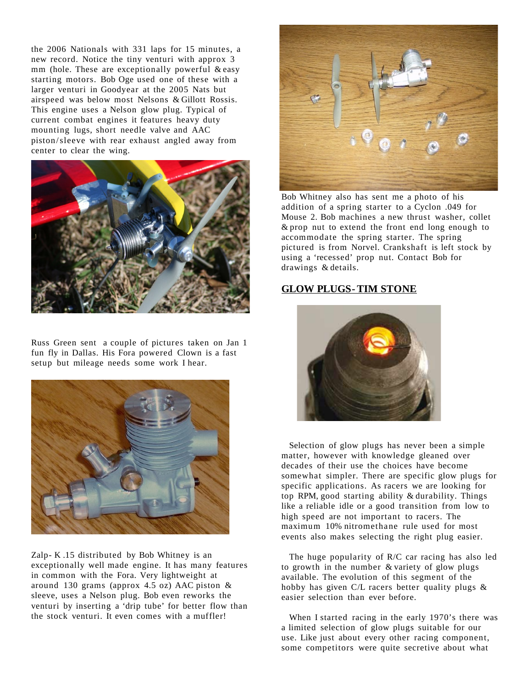the 2006 Nationals with 331 laps for 15 minutes, a new record. Notice the tiny venturi with approx 3 mm (hole. These are exceptionally powerful & easy starting motors. Bob Oge used one of these with a larger venturi in Goodyear at the 2005 Nats but airspeed was below most Nelsons & Gillott Rossis. This engine uses a Nelson glow plug. Typical of current combat engines it features heavy duty mounting lugs, short needle valve and AAC piston/sleeve with rear exhaust angled away from center to clear the wing.



Russ Green sent a couple of pictures taken on Jan 1 fun fly in Dallas. His Fora powered Clown is a fast setup but mileage needs some work I hear.



Zalp- K .15 distributed by Bob Whitney is an exceptionally well made engine. It has many features in common with the Fora. Very lightweight at around 130 grams (approx 4.5 oz) AAC piston & sleeve, uses a Nelson plug. Bob even reworks the venturi by inserting a 'drip tube' for better flow than the stock venturi. It even comes with a muffler!



Bob Whitney also has sent me a photo of his addition of a spring starter to a Cyclon .049 for Mouse 2. Bob machines a new thrust washer, collet & prop nut to extend the front end long enough to accommodate the spring starter. The spring pictured is from Norvel. Crankshaft is left stock by using a 'recessed' prop nut. Contact Bob for drawings & details.

# **GLOW PLUGS- TIM STONE**



Selection of glow plugs has never been a simple matter, however with knowledge gleaned over decades of their use the choices have become somewhat simpler. There are specific glow plugs for specific applications. As racers we are looking for top RPM, good starting ability & durability. Things like a reliable idle or a good transition from low to high speed are not important to racers. The maximum 10% nitromethane rule used for most events also makes selecting the right plug easier.

The huge popularity of R/C car racing has also led to growth in the number & variety of glow plugs available. The evolution of this segment of the hobby has given C/L racers better quality plugs & easier selection than ever before.

When I started racing in the early 1970's there was a limited selection of glow plugs suitable for our use. Like just about every other racing component, some competitors were quite secretive about what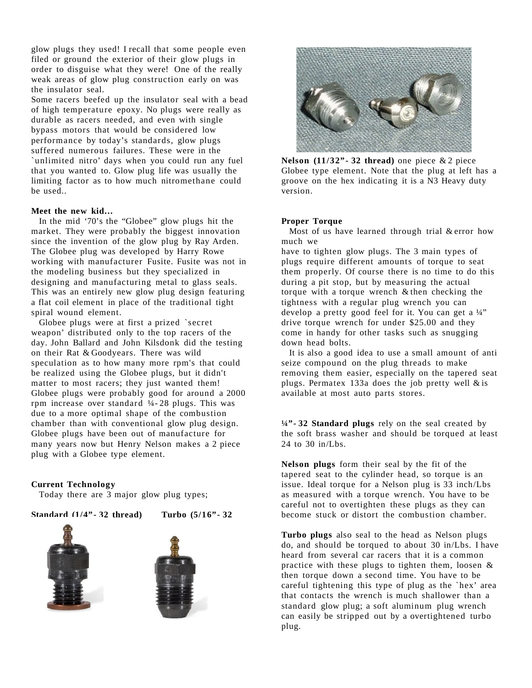glow plugs they used! I recall that some people even filed or ground the exterior of their glow plugs in order to disguise what they were! One of the really weak areas of glow plug construction early on was the insulator seal.

Some racers beefed up the insulator seal with a bead of high temperature epoxy. No plugs were really as durable as racers needed, and even with single bypass motors that would be considered low performance by today's standards, glow plugs suffered numerous failures. These were in the `unlimited nitro' days when you could run any fuel that you wanted to. Glow plug life was usually the limiting factor as to how much nitromethane could be used..

#### **Meet the new kid…**

In the mid '70's the "Globee" glow plugs hit the market. They were probably the biggest innovation since the invention of the glow plug by Ray Arden. The Globee plug was developed by Harry Rowe working with manufacturer Fusite. Fusite was not in the modeling business but they specialized in designing and manufacturing metal to glass seals. This was an entirely new glow plug design featuring a flat coil element in place of the traditional tight spiral wound element.

Globee plugs were at first a prized `secret weapon' distributed only to the top racers of the day. John Ballard and John Kilsdonk did the testing on their Rat & Goodyears. There was wild speculation as to how many more rpm's that could be realized using the Globee plugs, but it didn't matter to most racers; they just wanted them! Globee plugs were probably good for around a 2000 rpm increase over standard ¼- 28 plugs. This was due to a more optimal shape of the combustion chamber than with conventional glow plug design. Globee plugs have been out of manufacture for many years now but Henry Nelson makes a 2 piece plug with a Globee type element.

#### **Current Technology**

Today there are 3 major glow plug types;

**Standard (1/4"- 32 thread) Turbo (5/16"- 32**







**Nelson**  $(11/32$ <sup>"</sup>  $\cdot$  **32 thread**) one piece & 2 piece Globee type element. Note that the plug at left has a groove on the hex indicating it is a N3 Heavy duty version.

#### **Proper Torque**

Most of us have learned through trial & error how much we

have to tighten glow plugs. The 3 main types of plugs require different amounts of torque to seat them properly. Of course there is no time to do this during a pit stop, but by measuring the actual torque with a torque wrench & then checking the tightness with a regular plug wrench you can develop a pretty good feel for it. You can get a ¼" drive torque wrench for under \$25.00 and they come in handy for other tasks such as snugging down head bolts.

It is also a good idea to use a small amount of anti seize compound on the plug threads to make removing them easier, especially on the tapered seat plugs. Permatex 133a does the job pretty well  $&$  is available at most auto parts stores.

**¼"- 32 Standard plugs** rely on the seal created by the soft brass washer and should be torqued at least 24 to 30 in/Lbs.

**Nelson plugs** form their seal by the fit of the tapered seat to the cylinder head, so torque is an issue. Ideal torque for a Nelson plug is 33 inch/Lbs as measured with a torque wrench. You have to be careful not to overtighten these plugs as they can become stuck or distort the combustion chamber.

**Turbo plugs** also seal to the head as Nelson plugs do, and should be torqued to about 30 in/Lbs. I have heard from several car racers that it is a common practice with these plugs to tighten them, loosen & then torque down a second time. You have to be careful tightening this type of plug as the `hex' area that contacts the wrench is much shallower than a standard glow plug; a soft aluminum plug wrench can easily be stripped out by a overtightened turbo plug.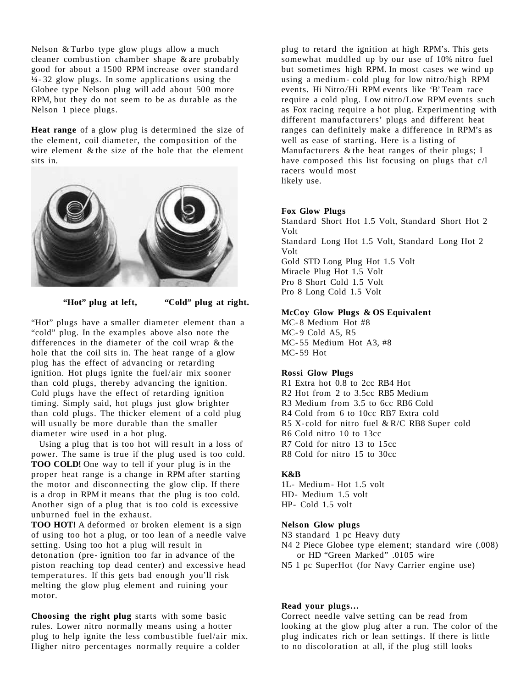Nelson & Turbo type glow plugs allow a much cleaner combustion chamber shape & are probably good for about a 1500 RPM increase over standard  $\frac{1}{4}$ -32 glow plugs. In some applications using the Globee type Nelson plug will add about 500 more RPM, but they do not seem to be as durable as the Nelson 1 piece plugs.

**Heat range** of a glow plug is determined the size of the element, coil diameter, the composition of the wire element  $\&$  the size of the hole that the element sits in.



**"Hot" plug at left, "Cold" plug at right.**

"Hot" plugs have a smaller diameter element than a "cold" plug. In the examples above also note the differences in the diameter of the coil wrap & the hole that the coil sits in. The heat range of a glow plug has the effect of advancing or retarding ignition. Hot plugs ignite the fuel/air mix sooner than cold plugs, thereby advancing the ignition. Cold plugs have the effect of retarding ignition timing. Simply said, hot plugs just glow brighter than cold plugs. The thicker element of a cold plug will usually be more durable than the smaller diameter wire used in a hot plug.

Using a plug that is too hot will result in a loss of power. The same is true if the plug used is too cold. **TOO COLD!** One way to tell if your plug is in the proper heat range is a change in RPM after starting the motor and disconnecting the glow clip. If there is a drop in RPM it means that the plug is too cold. Another sign of a plug that is too cold is excessive unburned fuel in the exhaust.

**TOO HOT!** A deformed or broken element is a sign of using too hot a plug, or too lean of a needle valve setting. Using too hot a plug will result in detonation (pre- ignition too far in advance of the piston reaching top dead center) and excessive head temperatures. If this gets bad enough you'll risk melting the glow plug element and ruining your motor.

**Choosing the right plug** starts with some basic rules. Lower nitro normally means using a hotter plug to help ignite the less combustible fuel/air mix. Higher nitro percentages normally require a colder

plug to retard the ignition at high RPM's. This gets somewhat muddled up by our use of 10% nitro fuel but sometimes high RPM. In most cases we wind up using a medium- cold plug for low nitro/high RPM events. Hi Nitro/Hi RPM events like 'B' Team race require a cold plug. Low nitro/Low RPM events such as Fox racing require a hot plug. Experimenting with different manufacturers' plugs and different heat ranges can definitely make a difference in RPM's as well as ease of starting. Here is a listing of Manufacturers & the heat ranges of their plugs; I have composed this list focusing on plugs that c/l racers would most likely use.

#### **Fox Glow Plugs**

Standard Short Hot 1.5 Volt, Standard Short Hot 2 Volt Standard Long Hot 1.5 Volt, Standard Long Hot 2 Volt Gold STD Long Plug Hot 1.5 Volt Miracle Plug Hot 1.5 Volt Pro 8 Short Cold 1.5 Volt Pro 8 Long Cold 1.5 Volt

#### **McCoy Glow Plugs & OS Equivalent**

MC- 8 Medium Hot #8 MC-9 Cold A5, R5 MC- 55 Medium Hot A3, #8 MC- 59 Hot

# **Rossi Glow Plugs**

R1 Extra hot 0.8 to 2cc RB4 Hot R2 Hot from 2 to 3.5cc RB5 Medium R3 Medium from 3.5 to 6cc RB6 Cold R4 Cold from 6 to 10cc RB7 Extra cold R5 X- cold for nitro fuel & R/C RB8 Super cold R6 Cold nitro 10 to 13cc R7 Cold for nitro 13 to 15cc R8 Cold for nitro 15 to 30cc

# **K&B**

1L- Medium- Hot 1.5 volt HD- Medium 1.5 volt HP- Cold 1.5 volt

# **Nelson Glow plugs**

- N3 standard 1 pc Heavy duty
- N4 2 Piece Globee type element; standard wire (.008) or HD "Green Marked" .0105 wire
- N5 1 pc SuperHot (for Navy Carrier engine use)

# **Read your plugs…**

Correct needle valve setting can be read from looking at the glow plug after a run. The color of the plug indicates rich or lean settings. If there is little to no discoloration at all, if the plug still looks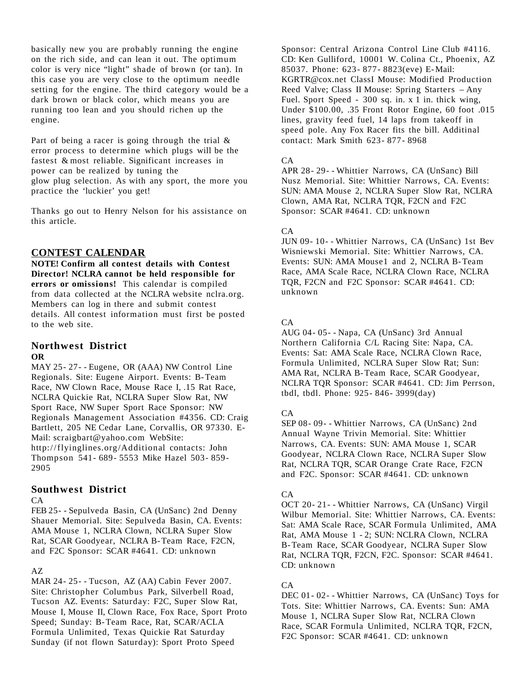basically new you are probably running the engine on the rich side, and can lean it out. The optimum color is very nice "light" shade of brown (or tan). In this case you are very close to the optimum needle setting for the engine. The third category would be a dark brown or black color, which means you are running too lean and you should richen up the engine.

Part of being a racer is going through the trial  $\&$ error process to determine which plugs will be the fastest & most reliable. Significant increases in power can be realized by tuning the glow plug selection. As with any sport, the more you practice the 'luckier' you get!

Thanks go out to Henry Nelson for his assistance on this article.

# **CONTEST CALENDAR**

**NOTE! Confirm all contest details with Contest Director! NCLRA cannot be held responsible for errors or omissions!** This calendar is compiled from data collected at the NCLRA website nclra.org. Members can log in there and submit contest details. All contest information must first be posted to the web site.

# **Northwest District OR**

MAY 25- 27- - Eugene, OR (AAA) NW Control Line Regionals. Site: Eugene Airport. Events: B-Team Race, NW Clown Race, Mouse Race I, .15 Rat Race, NCLRA Quickie Rat, NCLRA Super Slow Rat, NW Sport Race, NW Super Sport Race Sponsor: NW Regionals Management Association #4356. CD: Craig Bartlett, 205 NE Cedar Lane, Corvallis, OR 97330. E-Mail: scraigbart@yahoo.com WebSite: http://flyinglines.org/Additional contacts: John Thompson 541- 689- 5553 Mike Hazel 503- 859- 2905

# **Southwest District**

#### CA

FEB 25- - Sepulveda Basin, CA (UnSanc) 2nd Denny Shauer Memorial. Site: Sepulveda Basin, CA. Events: AMA Mouse 1, NCLRA Clown, NCLRA Super Slow Rat, SCAR Goodyear, NCLRA B-Team Race, F2CN, and F2C Sponsor: SCAR #4641. CD: unknown

# AZ

MAR 24- 25- - Tucson, AZ (AA) Cabin Fever 2007. Site: Christopher Columbus Park, Silverbell Road, Tucson AZ. Events: Saturday: F2C, Super Slow Rat, Mouse I, Mouse II, Clown Race, Fox Race, Sport Proto Speed; Sunday: B-Team Race, Rat, SCAR/ACLA Formula Unlimited, Texas Quickie Rat Saturday Sunday (if not flown Saturday): Sport Proto Speed

Sponsor: Central Arizona Control Line Club #4116. CD: Ken Gulliford, 10001 W. Colina Ct., Phoenix, AZ 85037. Phone: 623- 877- 8823(eve) E-Mail: KGRTR@cox.net ClassI Mouse: Modified Production Reed Valve; Class II Mouse: Spring Starters – Any Fuel. Sport Speed - 300 sq. in. x 1 in. thick wing, Under \$100.00, .35 Front Rotor Engine, 60 foot .015 lines, gravity feed fuel, 14 laps from takeoff in speed pole. Any Fox Racer fits the bill. Additinal contact: Mark Smith 623- 877- 8968

#### $\Gamma$ A

APR 28- 29- - Whittier Narrows, CA (UnSanc) Bill Nusz Memorial. Site: Whittier Narrows, CA. Events: SUN: AMA Mouse 2, NCLRA Super Slow Rat, NCLRA Clown, AMA Rat, NCLRA TQR, F2CN and F2C Sponsor: SCAR #4641. CD: unknown

# CA

JUN 09- 10- - Whittier Narrows, CA (UnSanc) 1st Bev Wisniewski Memorial. Site: Whittier Narrows, CA. Events: SUN: AMA Mouse1 and 2, NCLRA B-Team Race, AMA Scale Race, NCLRA Clown Race, NCLRA TQR, F2CN and F2C Sponsor: SCAR #4641. CD: unknown

# $CA$

AUG 04- 05- - Napa, CA (UnSanc) 3rd Annual Northern California C/L Racing Site: Napa, CA. Events: Sat: AMA Scale Race, NCLRA Clown Race, Formula Unlimited, NCLRA Super Slow Rat; Sun: AMA Rat, NCLRA B-Team Race, SCAR Goodyear, NCLRA TQR Sponsor: SCAR #4641. CD: Jim Perrson, tbdl, tbdl. Phone: 925- 846- 3999(day)

# $CA$

SEP 08- 09- - Whittier Narrows, CA (UnSanc) 2nd Annual Wayne Trivin Memorial. Site: Whittier Narrows, CA. Events: SUN: AMA Mouse 1, SCAR Goodyear, NCLRA Clown Race, NCLRA Super Slow Rat, NCLRA TQR, SCAR Orange Crate Race, F2CN and F2C. Sponsor: SCAR #4641. CD: unknown

# CA

OCT 20- 21- - Whittier Narrows, CA (UnSanc) Virgil Wilbur Memorial. Site: Whittier Narrows, CA. Events: Sat: AMA Scale Race, SCAR Formula Unlimited, AMA Rat, AMA Mouse 1 - 2; SUN: NCLRA Clown, NCLRA B-Team Race, SCAR Goodyear, NCLRA Super Slow Rat, NCLRA TQR, F2CN, F2C. Sponsor: SCAR #4641. CD: unknown

# $CA$

DEC 01- 02- - Whittier Narrows, CA (UnSanc) Toys for Tots. Site: Whittier Narrows, CA. Events: Sun: AMA Mouse 1, NCLRA Super Slow Rat, NCLRA Clown Race, SCAR Formula Unlimited, NCLRA TQR, F2CN, F2C Sponsor: SCAR #4641. CD: unknown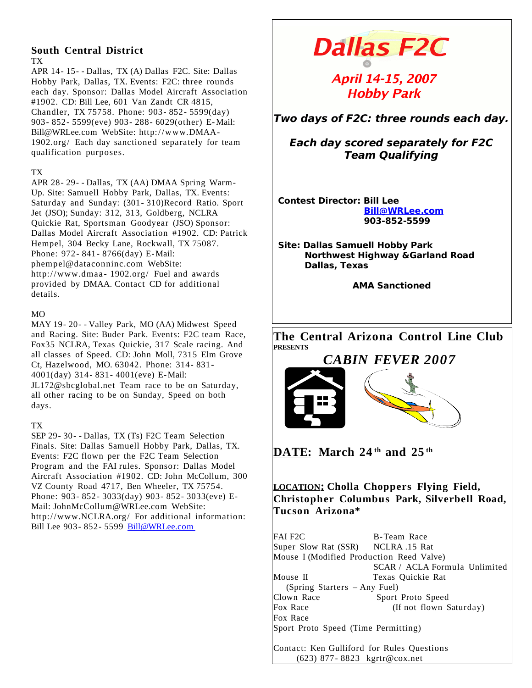# **South Central District** TX

APR 14- 15- - Dallas, TX (A) Dallas F2C. Site: Dallas Hobby Park, Dallas, TX. Events: F2C: three rounds each day. Sponsor: Dallas Model Aircraft Association #1902. CD: Bill Lee, 601 Van Zandt CR 4815, Chandler, TX 75758. Phone: 903- 852- 5599(day) 903- 852- 5599(eve) 903- 288- 6029(other) E-Mail: Bill@WRLee.com WebSite: http://www.DMAA-1902.org/ Each day sanctioned separately for team qualification purposes.

# TX

APR 28- 29- - Dallas, TX (AA) DMAA Spring Warm-Up. Site: Samuell Hobby Park, Dallas, TX. Events: Saturday and Sunday: (301- 310)Record Ratio. Sport Jet (JSO); Sunday: 312, 313, Goldberg, NCLRA Quickie Rat, Sportsman Goodyear (JSO) Sponsor: Dallas Model Aircraft Association #1902. CD: Patrick Hempel, 304 Becky Lane, Rockwall, TX 75087. Phone: 972- 841- 8766(day) E-Mail: phempel@dataconninc.com WebSite: http://www.dmaa-1902.org/ Fuel and awards provided by DMAA. Contact CD for additional details.

# $MO$

MAY 19- 20- - Valley Park, MO (AA) Midwest Speed and Racing. Site: Buder Park. Events: F2C team Race, Fox35 NCLRA, Texas Quickie, 317 Scale racing. And all classes of Speed. CD: John Moll, 7315 Elm Grove Ct, Hazelwood, MO. 63042. Phone: 314- 831- 4001(day) 314- 831- 4001(eve) E-Mail: JL172@sbcglobal.net Team race to be on Saturday, all other racing to be on Sunday, Speed on both days.

# TX

SEP 29- 30- - Dallas, TX (Ts) F2C Team Selection Finals. Site: Dallas Samuell Hobby Park, Dallas, TX. Events: F2C flown per the F2C Team Selection Program and the FAI rules. Sponsor: Dallas Model Aircraft Association #1902. CD: John McCollum, 300 VZ County Road 4717, Ben Wheeler, TX 75754. Phone: 903- 852- 3033(day) 903- 852- 3033(eve) E-Mail: JohnMcCollum@WRLee.com WebSite: http://www.NCLRA.org/ For additional information: Bill Lee 903- 852- 5599 [Bill@WRLee.com](mailto:Bill@WRLee.com)

# **Dallas F2C**

# April 14-15, 2007 **Hobby Park**

**Two days of F2C: three rounds each day.**

**Each day scored separately for F2C Team Qualifying**

**Contest Director: Bill Lee [Bill@WRLee.com](mailto:Bill@WRLee.com) 903-852-5599**

**Site: Dallas Samuell Hobby Park Northwest Highway &Garland Road Dallas, Texas**

**AMA Sanctioned**

**The Central Arizona Control Line Club PRESENTS**

# *CABIN FEVER 2007*



**DATE: March 24 th and 25 th**

**LOCATION: Cholla Choppers Flying Field, Christopher Columbus Park, Silverbell Road, Tucson Arizona\***

FAI F2C B-Team Race<br>Super Slow Rat (SSR) NCLRA .15 Rat Super Slow Rat (SSR) Mouse I (Modified Production Reed Valve) SCAR / ACLA Formula Unlimited Mouse II Texas Quickie Rat (Spring Starters – Any Fuel) Clown Race Sport Proto Speed Fox Race (If not flown Saturday) Fox Race Sport Proto Speed (Time Permitting) Contact: Ken Gulliford for Rules Questions (623) 877- 8823 kgrtr@cox.net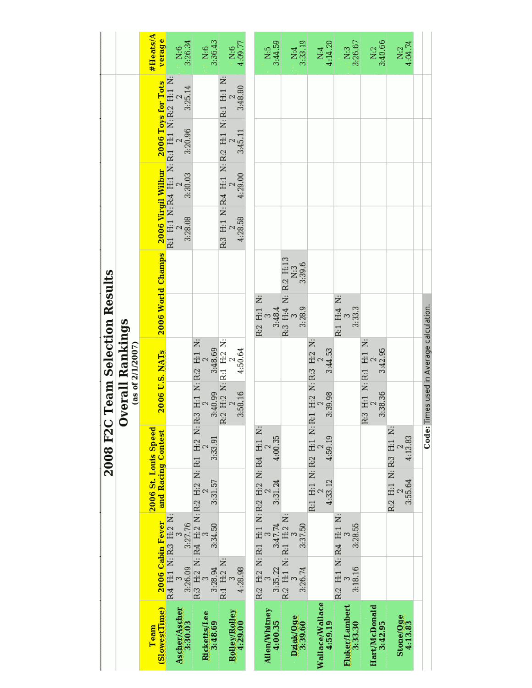|                                                | #Heats/A<br>verage                                      | $\frac{N:6}{3:26.34}$                                  | 3:36.43<br>$\frac{6}{2}$                                                                                     | $\frac{\text{N:6}}{4.09.77}$                    |                                             | 3:44.59<br>k5                   | $\frac{N:4}{3:33.19}$                     | $\frac{N:4}{4:14.20}$                                      | $.1N:3$<br>3:26.67               | N:2<br>3:40.66                        | 4:04.74<br>ž.                    |                                         |
|------------------------------------------------|---------------------------------------------------------|--------------------------------------------------------|--------------------------------------------------------------------------------------------------------------|-------------------------------------------------|---------------------------------------------|---------------------------------|-------------------------------------------|------------------------------------------------------------|----------------------------------|---------------------------------------|----------------------------------|-----------------------------------------|
|                                                |                                                         | R:1 H:1 N: R:4 H:1 N: R:1 H:1 N: R:2 H:1 N:<br>3:25.14 |                                                                                                              | R3 H:1 N:R4 H:1 N:R2 H:1 N:R1 H:1 N:<br>3:48.80 |                                             |                                 |                                           |                                                            |                                  |                                       |                                  |                                         |
|                                                |                                                         | 3:20.96                                                |                                                                                                              | 3:45.11                                         |                                             |                                 |                                           |                                                            |                                  |                                       |                                  |                                         |
|                                                | 2006 World Champs 2006 Virgil Wilbur 2006 Toys for Tots | 3:30.03                                                |                                                                                                              | 4:29.00                                         |                                             |                                 |                                           |                                                            |                                  |                                       |                                  |                                         |
|                                                |                                                         | 3:28.08                                                |                                                                                                              | 4:28.58                                         |                                             |                                 |                                           |                                                            |                                  |                                       |                                  |                                         |
|                                                |                                                         |                                                        |                                                                                                              |                                                 |                                             |                                 | 3:39.6<br>N:3                             |                                                            |                                  |                                       |                                  |                                         |
|                                                |                                                         |                                                        |                                                                                                              |                                                 | R:2 H:1 N:                                  | 3:48.4                          | R:3 H:4 N: R:2 H:13<br>3<br>N:3<br>3:28.9 |                                                            | R:1 H:4 N:<br>3:33.3             |                                       |                                  |                                         |
| <b>Dverall Rankings</b><br>(as of $2/1/2007$ ) | 2006 U.S. NATs                                          |                                                        | $\begin{tabular}{c cc} 2 & 2 & 2 \\ 3:40.99 & 3:48.69 \\ R.2 H.2 & N. R.1 H.2 N. \\ 2 & 2 & 2 \end{tabular}$ | 4:50.64                                         |                                             |                                 |                                           | 3:44.53                                                    |                                  | R:3 H:1 N: R:1 H:1 N:<br>2<br>3:42.95 |                                  |                                         |
|                                                |                                                         |                                                        |                                                                                                              | 3:58.16                                         |                                             |                                 |                                           | 3:39.98                                                    |                                  | 3:38.36                               |                                  | Code: Times used in Average calculation |
| 2008 F2C Team Selection Results                |                                                         |                                                        | 3:33.91                                                                                                      |                                                 |                                             | 4:00.35                         |                                           | 4:59.19                                                    |                                  |                                       | 4:13.83                          |                                         |
|                                                | 2006 St. Louis Speed<br>and Racing Contest              |                                                        | 3:31.57                                                                                                      |                                                 | R.2 H.2 N: R.1 H.1 N: R.2 H.2 N: R.4 H.1 N: | 3:31.24                         |                                           | R:1 H:1 N: R:2 H:1 N: R:1 H:2 N: R:3 H:2 N: 2 2<br>4:33.12 |                                  |                                       | R:2 H:1 N: R:3 H:1 N:<br>3:55.64 |                                         |
|                                                | 2006 Cabin Fever                                        |                                                        | 3:34.50                                                                                                      |                                                 |                                             | $3:35.22$ $3:47.74$             | 3:37.50                                   |                                                            | 3:28.55                          |                                       |                                  |                                         |
|                                                |                                                         | R4 H1 N: R3 H2 N:                                      | 3:28.94                                                                                                      | R:1 H:2 N:<br>4:28.98                           |                                             |                                 | R:2 H:1 N: R:1 H:2 N:<br>3:26.74          |                                                            | R:2 H:1 N: R:4 H:1 N:<br>3:18.16 |                                       |                                  |                                         |
|                                                | (SlowestTime)<br>Team                                   | Ascher/Ascher<br>3:30.03                               | <b>Ricketts/Lee</b><br>3:48.69                                                                               | Rolley/Rolley<br>4:29.00                        |                                             | <b>Allen/Whitney</b><br>4:00.35 | Dziak/Oge<br>3:39.60                      | Wallace/Wallace<br>4:59.19                                 | Fluker/Lambert<br>3:33.30        | Hart/McDonald<br>3:42.95              | Stone/Oge<br>4:13.83             |                                         |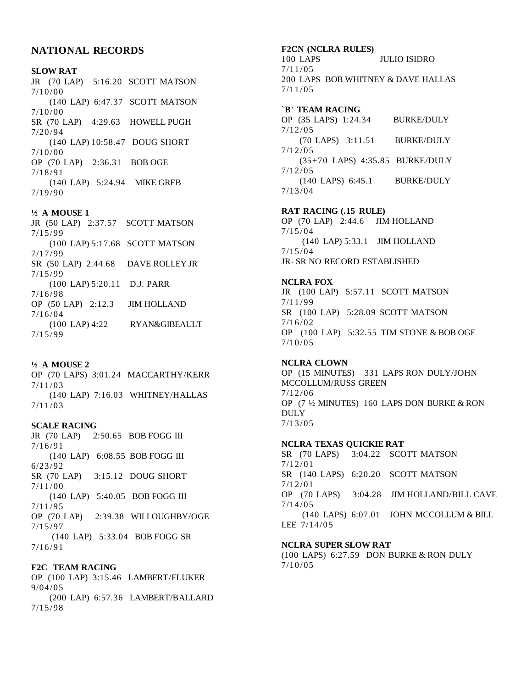# **NATIONAL RECORDS**

### **SLOW RAT**

JR (70 LAP) 5:16.20 SCOTT MATSON 7/10 /00 (140 LAP) 6:47.37 SCOTT MATSON  $7/10/00$ SR (70 LAP) 4:29.63 HOWELL PUGH 7/20 /94 (140 LAP) 10:58.47 DOUG SHORT 7/10 /00 OP (70 LAP) 2:36.31 BOB OGE 7/18 /91 (140 LAP) 5:24.94 MIKE GREB 7/19 /90

#### **½ A MOUSE 1**

JR (50 LAP) 2:37.57 SCOTT MATSON 7/15 /99 (100 LAP) 5:17.68 SCOTT MATSON 7/17 /99 SR (50 LAP) 2:44.68 DAVE ROLLEY JR 7/15 /99 (100 LAP) 5:20.11 D.J. PARR 7/16 /98 OP (50 LAP) 2:12.3 JIM HOLLAND  $7/16/04$ (100 LAP) 4:22 RYAN&GIBEAULT 7/15 /99

**½ A MOUSE 2** OP (70 LAPS) 3:01.24 MACCARTHY/KERR 7/11 /03 (140 LAP) 7:16.03 WHITNEY/HALLAS 7/11 /03

#### **SCALE RACING**

JR (70 LAP) 2:50.65 BOB FOGG III  $7/16/91$ (140 LAP) 6:08.55 BOB FOGG III 6/23 /92 SR (70 LAP) 3:15.12 DOUG SHORT 7/11 /00 (140 LAP) 5:40.05 BOB FOGG III 7/11 /95 OP (70 LAP) 2:39.38 WILLOUGHBY/OGE 7/15 /97 (140 LAP) 5:33.04 BOB FOGG SR  $7/16/91$ 

#### **F2C TEAM RACING**

OP (100 LAP) 3:15.46 LAMBERT/FLUKER 9/04 /05 (200 LAP) 6:57.36 LAMBERT/BALLARD 7/15 /98

# **F2CN (NCLRA RULES)**

100 LAPS JULIO ISIDRO  $7/11/05$ 200 LAPS BOB WHITNEY & DAVE HALLAS  $7/11/05$ 

#### **`B' TEAM RACING**

OP (35 LAPS) 1:24.34 BURKE/DULY 7/12 /05 (70 LAPS) 3:11.51 BURKE/DULY  $7/12/05$ (35+70 LAPS) 4:35.85 BURKE/DULY  $7/12/05$ (140 LAPS) 6:45.1 BURKE/DULY 7/13 /04

#### **RAT RACING (.15 RULE)**

OP (70 LAP) 2:44.6 JIM HOLLAND 7/15 /04 (140 LAP) 5:33.1 JIM HOLLAND 7/15 /04 JR-SR NO RECORD ESTABLISHED

#### **NCLRA FOX**

JR (100 LAP) 5:57.11 SCOTT MATSON 7/11 /99 SR (100 LAP) 5:28.09 SCOTT MATSON  $7/16/02$ OP (100 LAP) 5:32.55 TIM STONE & BOB OGE  $7/10/05$ 

# **NCLRA CLOWN**

OP (15 MINUTES) 331 LAPS RON DULY/JOHN MCCOLLUM/RUSS GREEN  $7/12/06$ OP (7 ½ MINUTES) 160 LAPS DON BURKE & RON DULY 7/13 /05

#### **NCLRA TEXAS QUICKIE RAT**

SR (70 LAPS) 3:04.22 SCOTT MATSON  $7/12/01$ SR (140 LAPS) 6:20.20 SCOTT MATSON  $7/12/01$ OP (70 LAPS) 3:04.28 JIM HOLLAND/BILL CAVE  $7/14/05$ (140 LAPS) 6:07.01 JOHN MCCOLLUM & BILL LEE 7/14/05

# **NCLRA SUPER SLOW RAT**

(100 LAPS) 6:27.59 DON BURKE & RON DULY  $7/10/05$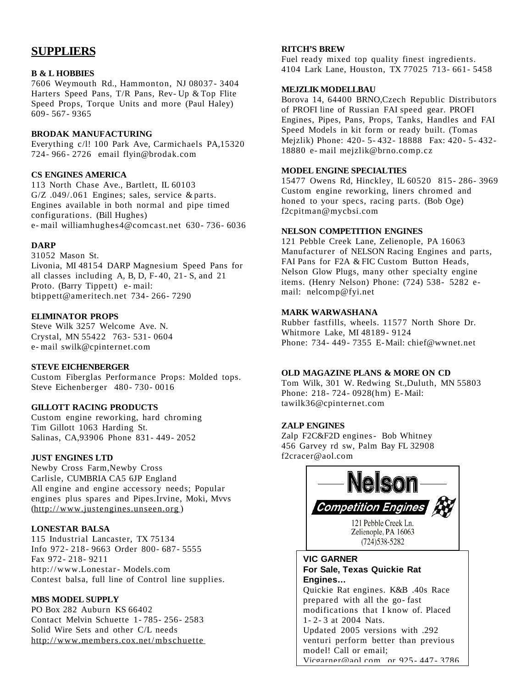# **SUPPLIERS**

# **B & L HOBBIES**

7606 Weymouth Rd., Hammonton, NJ 08037- 3404 Harters Speed Pans, T/R Pans, Rev- Up & Top Flite Speed Props, Torque Units and more (Paul Haley) 609- 567- 9365

# **BRODAK MANUFACTURING**

Everything c/l! 100 Park Ave, Carmichaels PA,15320 724- 966- 2726 email flyin@brodak.com

# **CS ENGINES AMERICA**

113 North Chase Ave., Bartlett, IL 60103 G/Z .049/.061 Engines; sales, service & parts. Engines available in both normal and pipe timed configurations. (Bill Hughes) e- mail williamhughes4@comcast.net 630- 736- 6036

# **DARP**

31052 Mason St. Livonia, MI 48154 DARP Magnesium Speed Pans for all classes including A, B, D, F- 40, 21- S, and 21 Proto. (Barry Tippett) e- mail: btippett@ameritech.net 734- 266- 7290

# **ELIMINATOR PROPS**

Steve Wilk 3257 Welcome Ave. N. Crystal, MN 55422 763- 531- 0604 e- mail swilk@cpinternet.com

# **STEVE EICHENBERGER**

Custom Fiberglas Performance Props: Molded tops. Steve Eichenberger 480- 730- 0016

# **GILLOTT RACING PRODUCTS**

Custom engine reworking, hard chroming Tim Gillott 1063 Harding St. Salinas, CA,93906 Phone 831- 449- 2052

# **JUST ENGINES LTD**

Newby Cross Farm,Newby Cross Carlisle, CUMBRIA CA5 6JP England All engine and engine accessory needs; Popular engines plus spares and Pipes.Irvine, Moki, Mvvs [\(http://www.justengines.unseen.org](http://www.justengines.unseen.org/) )

# **LONESTAR BALSA**

115 Industrial Lancaster, TX 75134 Info 972- 218- 9663 Order 800- 687- 5555 Fax 972- 218- 9211 http://www.Lonestar- Models.com Contest balsa, full line of Control line supplies.

# **MBS MODEL SUPPLY**

PO Box 282 Auburn KS 66402 Contact Melvin Schuette 1- 785- 256- 2583 Solid Wire Sets and other C/L needs <http://www.members.cox.net/mbschuette>

# **RITCH'S BREW**

Fuel ready mixed top quality finest ingredients. 4104 Lark Lane, Houston, TX 77025 713- 661- 5458

#### **MEJZLIK MODELLBAU**

Borova 14, 64400 BRNO,Czech Republic Distributors of PROFI line of Russian FAI speed gear. PROFI Engines, Pipes, Pans, Props, Tanks, Handles and FAI Speed Models in kit form or ready built. (Tomas Mejzlik) Phone: 420- 5- 432- 18888 Fax: 420- 5- 432- 18880 e- mail mejzlik@brno.comp.cz

# **MODEL ENGINE SPECIALTIES**

15477 Owens Rd, Hinckley, IL 60520 815- 286- 3969 Custom engine reworking, liners chromed and honed to your specs, racing parts. (Bob Oge) f2cpitman@mycbsi.com

# **NELSON COMPETITION ENGINES**

121 Pebble Creek Lane, Zelienople, PA 16063 Manufacturer of NELSON Racing Engines and parts, FAI Pans for F2A & FIC Custom Button Heads, Nelson Glow Plugs, many other specialty engine items. (Henry Nelson) Phone: (724) 538- 5282 email: nelcomp@fyi.net

# **MARK WARWASHANA**

Rubber fastfills, wheels. 11577 North Shore Dr. Whitmore Lake, MI 48189- 9124 Phone: 734- 449- 7355 E-Mail: chief@wwnet.net

# **OLD MAGAZINE PLANS & MORE ON CD**

Tom Wilk, 301 W. Redwing St.,Duluth, MN 55803 Phone: 218- 724- 0928(hm) E-Mail: tawilk36@cpinternet.com

# **ZALP ENGINES**

Zalp F2C&F2D engines- Bob Whitney 456 Garvey rd sw, Palm Bay FL 32908 f2cracer@aol.com



# **VIC GARNER For Sale, Texas Quickie Rat Engines…**

Quickie Rat engines. K&B .40s Race prepared with all the go- fast modifications that I know of. Placed 1- 2- 3 at 2004 Nats. Updated 2005 versions with .292 venturi perform better than previous model! Call or email; [Vicgarner@aol.com](mailto:Vicgarner@aol.com) or 925- 447- 3786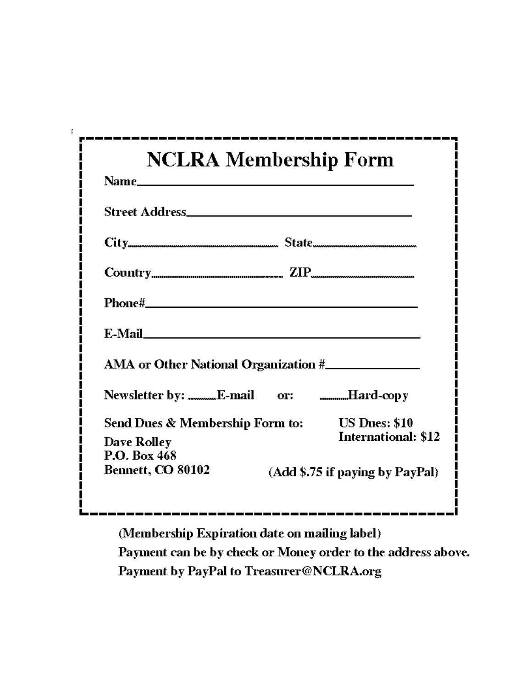| <b>Name <i>Name</i></b>                                                                                        | <b>NCLRA Membership Form</b>                  |
|----------------------------------------------------------------------------------------------------------------|-----------------------------------------------|
|                                                                                                                |                                               |
| <b>Street Address____________________________</b>                                                              |                                               |
|                                                                                                                |                                               |
|                                                                                                                |                                               |
| Phone# will be a series of the contract of the contract of the contract of the contract of the contract of the |                                               |
| E-Mail <b>E-Mail</b>                                                                                           |                                               |
|                                                                                                                | AMA or Other National Organization #_________ |
|                                                                                                                | Newsletter by: E-mail or: Hard-copy           |
|                                                                                                                | Send Dues & Membership Form to: US Dues: \$10 |
| Dave Rolley                                                                                                    | <b>International: \$12</b>                    |
| P.O. Box 468<br><b>Bennett, CO 80102</b>                                                                       | (Add \$.75 if paying by PayPal)               |

 $\ddot{\phi}$ 

(Membership Expiration date on mailing label)

Payment can be by check or Money order to the address above. Payment by PayPal to Treasurer@NCLRA.org